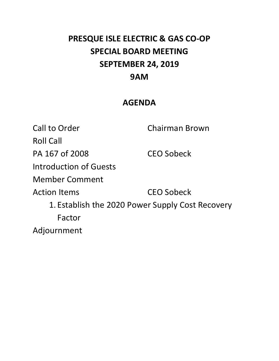# **PRESQUE ISLE ELECTRIC & GAS CO‐OP SPECIAL BOARD MEETING SEPTEMBER 24, 2019 9AM**

## **AGENDA**

Call to Order **Chairman Brown** Roll Call PA 167 of 2008 CEO Sobeck Introduction of Guests Member Comment Action Items **CEO** Sobeck 1. Establish the 2020 Power Supply Cost Recovery Factor Adjournment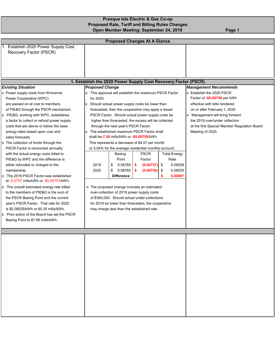| <b>Presque Isle Electric &amp; Gas Co-op</b>           |        |
|--------------------------------------------------------|--------|
| <b>Proposed Rate, Tariff and Billing Rules Changes</b> |        |
| Open Member Meeting: September 24, 2019                | Page 1 |

| <b>Proposed Changes At A Glance</b>                                                                                                                                                                                                                                                                                                                                                                                                                                                                                                                                                                                                                                                                                                                                                                                                                                                                                                                                                |                                                                                                                                                                                                                                                                                                                                                                                                                                                                                                                                                                                                                                                                                                                                                                                                                                                                                                                                                                                                                                                                                          |                                                                                                                                                                                                                                                                                                      |  |  |  |  |  |  |  |  |  |
|------------------------------------------------------------------------------------------------------------------------------------------------------------------------------------------------------------------------------------------------------------------------------------------------------------------------------------------------------------------------------------------------------------------------------------------------------------------------------------------------------------------------------------------------------------------------------------------------------------------------------------------------------------------------------------------------------------------------------------------------------------------------------------------------------------------------------------------------------------------------------------------------------------------------------------------------------------------------------------|------------------------------------------------------------------------------------------------------------------------------------------------------------------------------------------------------------------------------------------------------------------------------------------------------------------------------------------------------------------------------------------------------------------------------------------------------------------------------------------------------------------------------------------------------------------------------------------------------------------------------------------------------------------------------------------------------------------------------------------------------------------------------------------------------------------------------------------------------------------------------------------------------------------------------------------------------------------------------------------------------------------------------------------------------------------------------------------|------------------------------------------------------------------------------------------------------------------------------------------------------------------------------------------------------------------------------------------------------------------------------------------------------|--|--|--|--|--|--|--|--|--|
| 1. Establish 2020 Power Supply Cost<br>Recovery Factor (PSCR)                                                                                                                                                                                                                                                                                                                                                                                                                                                                                                                                                                                                                                                                                                                                                                                                                                                                                                                      |                                                                                                                                                                                                                                                                                                                                                                                                                                                                                                                                                                                                                                                                                                                                                                                                                                                                                                                                                                                                                                                                                          |                                                                                                                                                                                                                                                                                                      |  |  |  |  |  |  |  |  |  |
|                                                                                                                                                                                                                                                                                                                                                                                                                                                                                                                                                                                                                                                                                                                                                                                                                                                                                                                                                                                    | 1. Establish the 2020 Power Supply Cost Recovery Factor (PSCR)                                                                                                                                                                                                                                                                                                                                                                                                                                                                                                                                                                                                                                                                                                                                                                                                                                                                                                                                                                                                                           |                                                                                                                                                                                                                                                                                                      |  |  |  |  |  |  |  |  |  |
| <b>Existing Situation</b><br>o Power supply costs from Wolverine<br>Power Cooperative (WPC)<br>are passed on at cost to members<br>of PIE&G through the PSCR mechanism.<br>o PIE&G, working with WPC, establishes<br>a factor to collect or refund power supply<br>costs that are above or below the base<br>energy rates based upon cost and<br>sales forecasts.<br>o The collection of funds through the<br>PSCR Factor is reconciled annually<br>with the actual energy costs billed to<br>PIE&G by WPC and the difference is<br>either refunded or charged to the<br>membership.<br>The 2019 PSCR Factor was established<br>o<br>at -0.0757 mills/kWh or -\$0.00757/kWh.<br>o The overall estimated energy rate billed<br>to the members of PIE&G is the sum of<br>the PSCR Basing Point and the current<br>year's PSCR Factor. That rate for 2020<br>is \$0.08035/kWh or 80.35 mills/kWh.<br>o Prior action of the Board has set the PSCR<br>Basing Point to 87.85 mills/kWh. | <b>Proposed Change</b><br>o This approval will establish the maximum PSCR Factor<br>for 2020.<br>Should actual power supply costs be lower than<br>lo.<br>forecasted, then the cooperative may apply a lesser<br>PSCR Factor. Should actual power supply costs be<br>higher than forecasted, the excess will be collected<br>through the next year's PSCR Factor.<br>The established maximum PSCR Factor shall<br>$\circ$<br>shall be-7.50 mills/kWh or -\$0.00750/kWh.<br>This represents a decrease of \$4.57 per month<br>or 5.04% for the average residential monthly account.<br><b>PSCR</b><br><b>Total Energy</b><br>Basing<br>Point<br>Rate<br>Factor<br>$\sqrt{2}$<br>0.08028<br>2019<br>0.08785<br>(0.00757)<br>\$<br>-\$<br>0.08785<br>0.08035<br>2020<br>\$<br>\$<br>(0.00750)<br>\$<br>0.00007<br><b>Difference</b><br>\$<br>o The proposed change includes an estimated<br>over-collection of 2019 power supply costs<br>of \$360,000. Should actual under-collections<br>for 2019 be lower than forecasted, the cooperative<br>may charge less than the established rate. | <b>Management Recommends</b><br>o Establish the 2020 PSCR<br>Factor of -\$0.00750 per kWh<br>effective with bills rendered<br>on or after February 1, 2020.<br>o Management will bring forward<br>the 2019 over/under collection<br>at the first Special Member Regulation Board<br>Meeting of 2020. |  |  |  |  |  |  |  |  |  |
|                                                                                                                                                                                                                                                                                                                                                                                                                                                                                                                                                                                                                                                                                                                                                                                                                                                                                                                                                                                    |                                                                                                                                                                                                                                                                                                                                                                                                                                                                                                                                                                                                                                                                                                                                                                                                                                                                                                                                                                                                                                                                                          |                                                                                                                                                                                                                                                                                                      |  |  |  |  |  |  |  |  |  |
|                                                                                                                                                                                                                                                                                                                                                                                                                                                                                                                                                                                                                                                                                                                                                                                                                                                                                                                                                                                    |                                                                                                                                                                                                                                                                                                                                                                                                                                                                                                                                                                                                                                                                                                                                                                                                                                                                                                                                                                                                                                                                                          |                                                                                                                                                                                                                                                                                                      |  |  |  |  |  |  |  |  |  |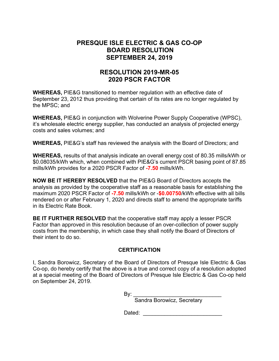### **PRESQUE ISLE ELECTRIC & GAS CO-OP BOARD RESOLUTION SEPTEMBER 24, 2019**

### **RESOLUTION 2019-MR-05 2020 PSCR FACTOR**

**WHEREAS,** PIE&G transitioned to member regulation with an effective date of September 23, 2012 thus providing that certain of its rates are no longer regulated by the MPSC; and

**WHEREAS,** PIE&G in conjunction with Wolverine Power Supply Cooperative (WPSC), it's wholesale electric energy supplier, has conducted an analysis of projected energy costs and sales volumes; and

**WHEREAS,** PIE&G's staff has reviewed the analysis with the Board of Directors; and

**WHEREAS,** results of that analysis indicate an overall energy cost of 80.35 mills/kWh or \$0.08035/kWh which, when combined with PIE&G's current PSCR basing point of 87.85 mills/kWh provides for a 2020 PSCR Factor of **-7.50** mills/kWh.

**NOW BE IT HEREBY RESOLVED** that the PIE&G Board of Directors accepts the analysis as provided by the cooperative staff as a reasonable basis for establishing the maximum 2020 PSCR Factor of **-7.50** mills/kWh or -**\$0.00750**/kWh effective with all bills rendered on or after February 1, 2020 and directs staff to amend the appropriate tariffs in its Electric Rate Book.

**BE IT FURTHER RESOLVED** that the cooperative staff may apply a lesser PSCR Factor than approved in this resolution because of an over-collection of power supply costs from the membership, in which case they shall notify the Board of Directors of their intent to do so.

#### **CERTIFICATION**

I, Sandra Borowicz, Secretary of the Board of Directors of Presque Isle Electric & Gas Co-op, do hereby certify that the above is a true and correct copy of a resolution adopted at a special meeting of the Board of Directors of Presque Isle Electric & Gas Co-op held on September 24, 2019.

 $\mathsf{By:}\qquad$ 

Sandra Borowicz, Secretary

Dated: \_\_\_\_\_\_\_\_\_\_\_\_\_\_\_\_\_\_\_\_\_\_\_\_\_\_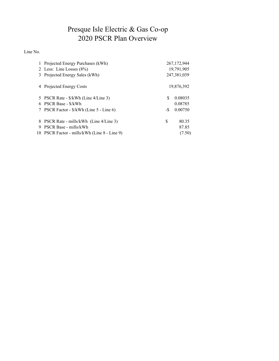## Presque Isle Electric & Gas Co-op 2020 PSCR Plan Overview

Line No.

|   | 1 Projected Energy Purchases (kWh)           |     | 267, 172, 944 |
|---|----------------------------------------------|-----|---------------|
|   | 2 Less: Line Losses $(8\%)$                  |     | 19,791,905    |
| 3 | Projected Energy Sales (kWh)                 |     | 247,381,039   |
|   | 4 Projected Energy Costs                     |     | 19,876,392    |
|   | 5 PSCR Rate - \$/kWh (Line 4/Line 3)         | S   | 0.08035       |
| 6 | PSCR Base - \$/kWh                           |     | 0.08785       |
|   | 7 PSCR Factor - \$/kWh (Line 5 - Line 6)     | -\$ | 0.00750       |
| 8 | PSCR Rate - mills/kWh (Line 4/Line 3)        | \$  | 80.35         |
| 9 | PSCR Base - mills/kWh                        |     | 87.85         |
|   | 10 PSCR Factor - mills/kWh (Line 8 - Line 9) |     | (7.50)        |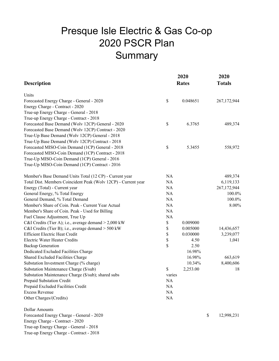# Presque Isle Electric & Gas Co-op 2020 PSCR Plan **Summary**

| <b>Description</b>                                             |           | 2020<br><b>Rates</b> | 2020<br><b>Totals</b> |             |  |
|----------------------------------------------------------------|-----------|----------------------|-----------------------|-------------|--|
| Units                                                          |           |                      |                       |             |  |
| Forecasted Energy Charge - General - 2020                      | \$        | 0.048651             |                       | 267,172,944 |  |
| Energy Charge - Contract - 2020                                |           |                      |                       |             |  |
| True-up Energy Charge - General - 2018                         |           |                      |                       |             |  |
| True-up Energy Charge - Contract - 2018                        |           |                      |                       |             |  |
| Forecasted Base Demand (Wolv 12CP) General - 2020              | \$        | 6.3765               |                       | 489,374     |  |
| Forecasted Base Demand (Wolv 12CP) Contract - 2020             |           |                      |                       |             |  |
| True-Up Base Demand (Wolv 12CP) General - 2018                 |           |                      |                       |             |  |
| True-Up Base Demand (Wolv 12CP) Contract - 2018                |           |                      |                       |             |  |
| Forecasted MISO-Coin Demand (1CP) General - 2018               | \$        | 5.3455               |                       | 558,972     |  |
| Forecasted MISO-Coin Demand (1CP) Contract - 2018              |           |                      |                       |             |  |
| True-Up MISO-Coin Demand (1CP) General - 2016                  |           |                      |                       |             |  |
| True-Up MISO-Coin Demand (1CP) Contract - 2016                 |           |                      |                       |             |  |
| Member's Base Demand Units Total (12 CP) - Current year        | NA        |                      |                       | 489,374     |  |
| Total Dist. Members Coincident Peak (Wolv 12CP) - Current year | <b>NA</b> |                      |                       | 6,119,133   |  |
| Energy (Total) - Current year                                  | <b>NA</b> |                      |                       | 267,172,944 |  |
| General Energy, % Total Energy                                 | <b>NA</b> |                      |                       | 100.0%      |  |
| General Demand, % Total Demand                                 | NA        |                      |                       | 100.0%      |  |
| Member's Share of Coin. Peak - Current Year Actual             | NA        |                      |                       | 8.00%       |  |
| Member's Share of Coin. Peak - Used for Billing                | NA        |                      |                       |             |  |
| Fuel Clause Adjustment, True Up                                | NA        |                      |                       |             |  |
| C&I Credits (Tier A); i.e., average demand > 2,000 kW          | \$        | 0.009000             |                       |             |  |
| C&I Credits (Tier B); i.e., average demand > 500 kW            | \$        | 0.005000             |                       | 14,436,657  |  |
| <b>Efficient Electric Heat Credit</b>                          | \$        | 0.030000             |                       | 3,239,077   |  |
| Electric Water Heater Credits                                  | \$        | 4.50                 |                       | 1,041       |  |
| <b>Backup Generation</b>                                       | \$        | 2.50                 |                       |             |  |
| Dedicated Excluded Facilities Charge                           |           | 16.98%               |                       |             |  |
| Shared Excluded Facilities Charge                              |           | 16.98%               |                       | 663,619     |  |
| Substation Investment Charge (% charge)                        |           | 10.34%               |                       | 8,400,606   |  |
| Substation Maintenance Charge (\$/sub)                         | \$        | 2,253.00             |                       | 18          |  |
| Substation Maintenance Charge (\$/sub); shared subs            | varies    |                      |                       |             |  |
| Prepaid Substation Credit                                      | NA        |                      |                       |             |  |
| Prepaid Excluded Facilities Credit                             | NA        |                      |                       |             |  |
| <b>Excess Revenue</b>                                          | NA        |                      |                       |             |  |
| Other Charges/(Credits)                                        | NA        |                      |                       |             |  |
| <b>Dollar Amounts</b>                                          |           |                      |                       |             |  |
| Forecasted Energy Charge - General - 2020                      |           |                      | \$                    | 12,998,231  |  |
| Energy Charge - Contract - 2020                                |           |                      |                       |             |  |
| True-up Energy Charge - General - 2018                         |           |                      |                       |             |  |

True-up Energy Charge - Contract - 2018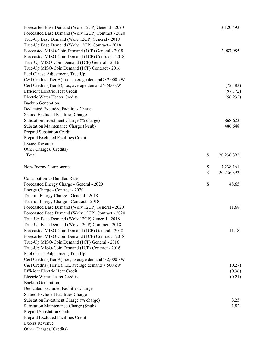| Forecasted Base Demand (Wolv 12CP) General - 2020<br>Forecasted Base Demand (Wolv 12CP) Contract - 2020<br>True-Up Base Demand (Wolv 12CP) General - 2018 | 3,120,493        |
|-----------------------------------------------------------------------------------------------------------------------------------------------------------|------------------|
| True-Up Base Demand (Wolv 12CP) Contract - 2018                                                                                                           |                  |
| Forecasted MISO-Coin Demand (1CP) General - 2018                                                                                                          | 2,987,985        |
| Forecasted MISO-Coin Demand (1CP) Contract - 2018                                                                                                         |                  |
| True-Up MISO-Coin Demand (1CP) General - 2016                                                                                                             |                  |
| True-Up MISO-Coin Demand (1CP) Contract - 2016                                                                                                            |                  |
| Fuel Clause Adjustment, True Up                                                                                                                           |                  |
| C&I Credits (Tier A); i.e., average demand > 2,000 kW                                                                                                     |                  |
| C&I Credits (Tier B); i.e., average demand > 500 kW                                                                                                       | (72, 183)        |
| <b>Efficient Electric Heat Credit</b>                                                                                                                     | (97, 172)        |
| Electric Water Heater Credits                                                                                                                             | (56, 232)        |
| <b>Backup Generation</b>                                                                                                                                  |                  |
|                                                                                                                                                           |                  |
| Dedicated Excluded Facilities Charge                                                                                                                      |                  |
| Shared Excluded Facilities Charge                                                                                                                         |                  |
| Substation Investment Charge (% charge)                                                                                                                   | 868,623          |
| Substation Maintenance Charge (\$/sub)                                                                                                                    | 486,648          |
| Prepaid Substation Credit                                                                                                                                 |                  |
| Prepaid Excluded Facilities Credit                                                                                                                        |                  |
| <b>Excess Revenue</b>                                                                                                                                     |                  |
| Other Charges/(Credits)                                                                                                                                   |                  |
| Total                                                                                                                                                     | \$<br>20,236,392 |
| Non-Energy Components                                                                                                                                     | \$<br>7,238,161  |
|                                                                                                                                                           | \$<br>20,236,392 |
| Contribution to Bundled Rate                                                                                                                              |                  |
| Forecasted Energy Charge - General - 2020                                                                                                                 | \$<br>48.65      |
| Energy Charge - Contract - 2020                                                                                                                           |                  |
| True-up Energy Charge - General - 2018                                                                                                                    |                  |
| True-up Energy Charge - Contract - 2018                                                                                                                   |                  |
| Forecasted Base Demand (Wolv 12CP) General - 2020                                                                                                         | 11.68            |
| Forecasted Base Demand (Wolv 12CP) Contract - 2020                                                                                                        |                  |
| True-Up Base Demand (Wolv 12CP) General - 2018                                                                                                            |                  |
| True-Up Base Demand (Wolv 12CP) Contract - 2018                                                                                                           |                  |
| Forecasted MISO-Coin Demand (1CP) General - 2018                                                                                                          | 11.18            |
| Forecasted MISO-Coin Demand (1CP) Contract - 2018                                                                                                         |                  |
| True-Up MISO-Coin Demand (1CP) General - 2016                                                                                                             |                  |
| True-Up MISO-Coin Demand (1CP) Contract - 2016                                                                                                            |                  |
| Fuel Clause Adjustment, True Up                                                                                                                           |                  |
| C&I Credits (Tier A); i.e., average demand $> 2,000$ kW                                                                                                   |                  |
| C&I Credits (Tier B); i.e., average demand > 500 kW                                                                                                       | (0.27)           |
| <b>Efficient Electric Heat Credit</b>                                                                                                                     | (0.36)           |
| <b>Electric Water Heater Credits</b>                                                                                                                      | (0.21)           |
| <b>Backup Generation</b>                                                                                                                                  |                  |
| Dedicated Excluded Facilities Charge                                                                                                                      |                  |
| Shared Excluded Facilities Charge                                                                                                                         |                  |
| Substation Investment Charge (% charge)                                                                                                                   | 3.25             |
| Substation Maintenance Charge (\$/sub)                                                                                                                    | 1.82             |
| Prepaid Substation Credit                                                                                                                                 |                  |
| Prepaid Excluded Facilities Credit                                                                                                                        |                  |
| <b>Excess Revenue</b>                                                                                                                                     |                  |
| Other Charges/(Credits)                                                                                                                                   |                  |
|                                                                                                                                                           |                  |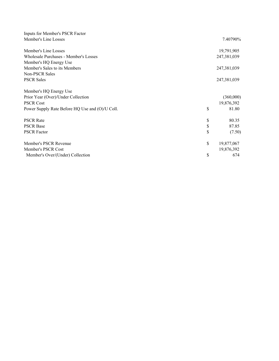| Inputs for Member's PSCR Factor                 |                  |
|-------------------------------------------------|------------------|
| Member's Line Losses                            | 7.40790%         |
| Member's Line Losses                            | 19,791,905       |
| Wholesale Purchases - Member's Losses           | 247,381,039      |
| Member's HQ Energy Use                          |                  |
| Member's Sales to its Members                   | 247,381,039      |
| Non-PSCR Sales                                  |                  |
| <b>PSCR Sales</b>                               | 247,381,039      |
| Member's HQ Energy Use                          |                  |
| Prior Year (Over)/Under Collection              | (360,000)        |
| <b>PSCR Cost</b>                                | 19,876,392       |
| Power Supply Rate Before HQ Use and (O)/U Coll. | \$<br>81.80      |
| <b>PSCR Rate</b>                                | \$<br>80.35      |
| <b>PSCR Base</b>                                | \$<br>87.85      |
| <b>PSCR Factor</b>                              | \$<br>(7.50)     |
| Member's PSCR Revenue                           | \$<br>19,877,067 |
| Member's PSCR Cost                              | 19,876,392       |
| Member's Over/(Under) Collection                | \$<br>674        |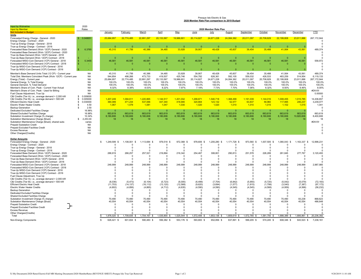#### Presque Isle Electric & Gas **2020 Member Rate Plan comparison to 2019 Budget**

| Input by Wolverine<br><b>Input by Member</b>                                                                 | 2020<br>Rates<br>2020 Member Rate Plan |    |                      |                      |                      |                      |                      |                      |                      |                      |                      |                      |                      |                       |                          |
|--------------------------------------------------------------------------------------------------------------|----------------------------------------|----|----------------------|----------------------|----------------------|----------------------|----------------------|----------------------|----------------------|----------------------|----------------------|----------------------|----------------------|-----------------------|--------------------------|
| <b>Not Included in Budget</b>                                                                                |                                        |    | January              | February             | March                | April                | May                  | June                 | <b>July</b>          | August               | September            | October              | November             | December              | YTD                      |
| Units                                                                                                        |                                        |    |                      |                      |                      |                      |                      |                      |                      |                      |                      |                      |                      |                       |                          |
| Forecasted Energy Charge - General - 2020<br>Energy Charge - Contract - 2020                                 | 0.048651                               |    | 25,684,957           | 22,774,485           | 22,891,297           | 20,133,567           | 19,986,601           | 20,114,827           | 24.671.228           | 24.084.362           | 20,011,097           | 20,708,829           | 22,199,808           | 23,911,886            | 267, 172, 944            |
| True-up Energy Charge - General - 2018                                                                       |                                        |    |                      |                      |                      |                      |                      |                      |                      |                      |                      |                      |                      |                       | c                        |
| True-up Energy Charge - Contract - 2018                                                                      |                                        |    | $\Omega$             | $\Omega$             | $\Omega$             | $\Omega$             | $\Omega$             | $\Omega$             | $\Omega$             | $\Omega$             | $\Omega$             | $\Omega$             | $\Omega$             | $\Omega$              |                          |
| Forecasted Base Demand (Wolv 12CP) General - 2020                                                            | 6.3765                                 |    | 45,310               | 41,756               | 40,386               | 34,485               | 33,928               | 39,907               | 48,428               | 45,607               | 39,454               | 35,488               | 41,064               | 43,561                | 489,374                  |
| Forecasted Base Demand (Wolv 12CP) Contract - 2020<br>True-Up Base Demand (Wolv 12CP) General - 2018         |                                        |    |                      |                      |                      |                      |                      |                      |                      |                      |                      |                      |                      |                       |                          |
| True-Up Base Demand (Wolv 12CP) Contract - 2018                                                              |                                        |    | $\Omega$             | $\Omega$             | $\epsilon$           | $\Omega$             | $\Omega$             | $\Omega$             | $\Omega$             | $\Omega$             | $\Omega$             | $\Omega$             | $\Omega$             |                       |                          |
| Forecasted MISO-Coin Demand (1CP) General - 2018                                                             | 5.3455                                 |    | 46,581               | 46,581               | 46,581               | 46,581               | 46,581               | 46,581               | 46,581               | 46,581               | 46,581               | 46,581               | 46,581               | 46,581                | 558,972                  |
| Forecasted MISO-Coin Demand (1CP) Contract - 2018                                                            |                                        |    | $\Omega$             | $\mathbf{0}$         | $\mathbf 0$          | $\mathbf{0}$         | $\mathbf 0$          | $\Omega$             | $\Omega$             | $\Omega$             | $\Omega$             | $\Omega$             | $\mathbf{0}$         |                       | $\Omega$<br>$\mathsf{C}$ |
| True-Up MISO-Coin Demand (1CP) General - 2016<br>True-Up MISO-Coin Demand (1CP) Contract - 2016              |                                        |    | $\Omega$             | $\sqrt{ }$           | $\Omega$             | $\Omega$             | $\Omega$             | $\Omega$             | $\Omega$             | $\Omega$             |                      |                      | $\Omega$             |                       | C                        |
| Member's Base Demand Units Total (12 CP) - Current year                                                      | <b>NA</b>                              |    | 45.310               | 41,756               | 40,386               | 34.485               | 33,928               | 39,907               | 48.428               | 45,607               | 39,454               | 35.488               | 41.064               | 43,561                | 489,374                  |
| Total Dist. Members Coincident Peak (Wolv 12CP) - Current year                                               | <b>NA</b>                              |    | 544,854              | 498,266              | 473,733              | 419,507              | 425,746              | 554,782              | 626,361              | 592,105              | 559,032              | 426,533              | 483,259              | 514,954               | 6,119,133                |
| Energy (Total) - Current year                                                                                | <b>NA</b>                              |    | 25,684,957           | 22,774,485           | 22,891,297           | 20, 133, 567         | 19,986,601           | 20,114,827           | 24,671,228           | 24,084,362           | 20,011,097           | 20,708,829           | 22,199,808           | 23,911,886            | 267, 172, 944            |
| General Energy, % Total Energy                                                                               | <b>NA</b>                              |    | 100.0%               | 100.0%               | 100.0%               | 100.0%               | 100.0%               | 100.0%               | 100.0%               | 100.0%               | 100.0%               | 100.0%               | 100.0%               | 100.0%                | 100.0%                   |
| General Demand, % Total Demand<br>Member's Share of Coin. Peak - Current Year Actual                         | <b>NA</b><br><b>NA</b>                 |    | 100.0%<br>8.32%      | 100.0%<br>8.38%      | 100.0%<br>8.53%      | 100.0%<br>8.22%      | 100.0%<br>7.97%      | 100.0%<br>7.19%      | 100.0%<br>7.73%      | 100.0%<br>7.70%      | 100.0%<br>7.06%      | 100.0%<br>8.32%      | 100.0%<br>8.50%      | 100.0%<br>8.46%       | 100.0%<br>8.00%          |
| Member's Share of Coin, Peak - Used for Billing                                                              | <b>NA</b>                              |    |                      |                      |                      |                      |                      |                      |                      |                      |                      |                      |                      |                       | #DIV/0!                  |
| Fuel Clause Adjustment, True Up                                                                              | <b>NA</b>                              |    |                      |                      |                      |                      |                      |                      |                      |                      |                      |                      |                      |                       | 0.00000                  |
| C&I Credits (Tier A); i.e., average demand > 2,000 kW                                                        | 0.009000<br>-S                         |    |                      |                      |                      |                      |                      |                      |                      |                      |                      |                      |                      |                       | c                        |
| C&I Credits (Tier B); i.e., average demand > 500 kW<br><b>Efficient Electric Heat Credit</b>                 | 0.005000<br>\$.<br>0.030000<br>S       |    | 1,207,249<br>390,089 | 1.094.611<br>471,234 | 1.220.865<br>537,066 | 1.144.517<br>437,340 | 1.201.032<br>418,946 | 1.299.871<br>320,664 | 1.540.718<br>123,132 | 1.368.499<br>52,577  | 1.191.039<br>63,837  | 1.144.016<br>59,960  | 1.008.455<br>117,995 | 1.015.785<br>246,237  | 14,436,657<br>3,239,077  |
| <b>Electric Water Heater Credits</b>                                                                         | 4.50<br>\$                             |    | 1,067                | 1,079                | 1,081                | 1,047                | 1,030                | 1,020                | 1,020                | 1,010                | 1,010                | 1,015                | 1,102                | 1,015                 | 1,041                    |
| <b>Backup Generation</b>                                                                                     | 2.50<br>\$.                            |    |                      |                      |                      |                      |                      |                      |                      |                      |                      |                      |                      |                       | c                        |
| Dedicated Excluded Facilities Charge                                                                         | 16.98%                                 |    | $\Omega$             | $\Omega$             | $\Omega$             | $\Omega$             | $\Omega$             | $\Omega$             | $\Omega$             | - 0                  |                      |                      | $\Omega$             |                       |                          |
| Shared Excluded Facilities Charge<br>Substation Investment Charge (% charge)                                 | 16.98%<br>10.34%                       |    | 663,619<br>8,180,606 | 663,619<br>8,180,606 | 663,619<br>8,180,606 | 663,619<br>8,180,606 | 663.619<br>8,180,606 | 663.619<br>8,180,606 | 663.619<br>8,180,606 | 663.619<br>8,180,606 | 663,619<br>8,180,606 | 663,619<br>8,180,606 | 663,619<br>8,180,606 | 663,619<br>10,820,606 | 663,619<br>8,400,606     |
| Substation Maintenance Charge (\$/sub)                                                                       | 2,253.00                               |    | 18                   | 18                   | 18                   | 18                   | 18                   | 18                   | 18                   | 18                   | 18                   | 18                   | 18                   | 18                    | 18                       |
| Substation Maintenance Charge (\$/sub); shared subs                                                          | varies                                 |    |                      |                      |                      |                      |                      |                      |                      |                      |                      |                      |                      |                       | #DIV/0!                  |
| <b>Prepaid Substation Credit</b>                                                                             | <b>NA</b>                              |    |                      |                      |                      |                      |                      |                      |                      |                      |                      |                      |                      |                       |                          |
| Prepaid Excluded Facilities Credit<br><b>Excess Revenue</b>                                                  | <b>NA</b><br><b>NA</b>                 |    |                      |                      |                      |                      |                      |                      |                      |                      |                      |                      |                      |                       |                          |
| Other Charges/(Credits)                                                                                      | <b>NA</b>                              |    |                      |                      |                      |                      |                      |                      |                      |                      |                      |                      |                      |                       |                          |
|                                                                                                              |                                        |    |                      |                      |                      |                      |                      |                      |                      |                      |                      |                      |                      |                       |                          |
| <b>Dollar Amounts</b><br>Forecasted Energy Charge - General - 2020                                           |                                        | s  | 1,249,599<br>-S      | 1,108,001<br>- \$    | 1,113,684 \$         | 979,518<br>-9        | 972,368 \$           | 978,606<br>S.        | 1,200,280            | 1,171,728            | 973,560<br>-S        | 1,007,505<br>-S      | 1,080,043 \$         | 1,163,337 \$          | 12,998,231               |
| Energy Charge - Contract - 2020                                                                              |                                        |    | $\Omega$             | $\Omega$             | $\sqrt{ }$           | $\Omega$             | 0                    | $\Omega$             | $\Omega$             | $\Omega$             | $\Omega$             | $\Omega$             | $\Omega$             | $\Omega$              |                          |
| True-up Energy Charge - General - 2018                                                                       |                                        |    | $\Omega$             | $\Omega$             | $\Omega$             | $\Omega$             | $\Omega$             | $\Omega$             | $\Omega$             | $\Omega$             | $\Omega$             | $\Omega$             | $\Omega$             | $\Omega$              | $\Omega$                 |
| True-up Energy Charge - Contract - 2018<br>Forecasted Base Demand (Wolv 12CP) General - 2020                 |                                        |    | $\Omega$<br>288,919  | $\Omega$<br>266,257  | $\Omega$<br>257,521  | $\Omega$<br>219,894  | $\Omega$<br>216,342  | $\Omega$<br>254,467  | $\Omega$<br>308,801  | $\Omega$<br>290,813  | $\Omega$<br>251,578  | $\Omega$<br>226,289  | $\Omega$<br>261,845  | $\Omega$<br>277,767   | c<br>3,120,493           |
| Forecasted Base Demand (Wolv 12CP) Contract - 2020                                                           |                                        |    | $\Omega$             | $\Omega$             | $\Omega$             | $\Omega$             | $\Omega$             | $\Omega$             | $\Omega$             | $\Omega$             | $\Omega$             | $\Omega$             | $\Omega$             | $\cap$                | C                        |
| True-Up Base Demand (Wolv 12CP) General - 2018                                                               |                                        |    | $^{\circ}$           | $^{\circ}$           | $^{\circ}$           | $\Omega$             | 0                    | 0                    | $\Omega$             | $\Omega$             | $\Omega$             | $\Omega$             | 0                    | $^{\circ}$            |                          |
| True-Up Base Demand (Wolv 12CP) Contract - 2018                                                              |                                        |    | $\Omega$             | $\Omega$             | $\Omega$             | $\Omega$             | $\Omega$             | $\Omega$             | $\Omega$             | $\Omega$             | $\Omega$             | $\Omega$             | $\Omega$             | $\Omega$              |                          |
| Forecasted MISO-Coin Demand (1CP) General - 2018<br>Forecasted MISO-Coin Demand (1CP) Contract - 2018        |                                        |    | 248.999<br>$\Omega$  | 248.999<br>$\Omega$  | 248.999<br>$\Omega$  | 248.999<br>$\Omega$  | 248.999<br>$\Omega$  | 248,999<br>$\Omega$  | 248.999<br>$\Omega$  | 248.999<br>$\Omega$  | 248.999<br>$\Omega$  | 248.999<br>$\Omega$  | 248.999<br>$\Omega$  | 248,999<br>$\Omega$   | 2.987.985<br>C           |
| True-Up MISO-Coin Demand (1CP) General - 2016                                                                |                                        |    | $\Omega$             | $\Omega$             | $\Omega$             | $\Omega$             | 0                    | $\Omega$             | $\Omega$             | $\Omega$             | $\Omega$             | $\Omega$             | $\Omega$             | $\Omega$              | $\Omega$                 |
| True-Up MISO-Coin Demand (1CP) Contract - 2016                                                               |                                        |    | $\Omega$             | $\Omega$             | $\Omega$             | $\Omega$             | 0                    | $\Omega$             | $\Omega$             | $\Omega$             | $\Omega$             | $\Omega$             | $\Omega$             | $\Omega$              | $\Omega$                 |
| Fuel Clause Adjustment, True Up                                                                              |                                        |    | $\Omega$             | $\Omega$             | $\Omega$             | $\Omega$             | 0                    | $\Omega$             | $\Omega$             | $\Omega$             | $\Omega$             | $\Omega$             | 0                    | $\Omega$              | $\Omega$                 |
| C&I Credits (Tier A); i.e., average demand > 2,000 kW<br>C&I Credits (Tier B); i.e., average demand > 500 kW |                                        |    | $\Omega$<br>(6,036)  | $\Omega$<br>(5, 473) | $\Omega$<br>(6, 104) | $\Omega$<br>(5, 723) | 0<br>(6,005)         | $\Omega$<br>(6, 499) | $\Omega$<br>(7, 704) | $\Omega$<br>(6, 842) | $\Omega$<br>(5,955)  | $\Omega$<br>(5, 720) | $\Omega$<br>(5,042)  | $\Omega$<br>(5,079)   | (72, 183)                |
| <b>Efficient Electric Heat Credit</b>                                                                        |                                        |    | (11, 703)            | (14, 137)            | (16, 112)            | (13, 120)            | (12, 568)            | (9,620)              | (3,694)              | (1, 577)             | (1, 915)             | (1,799)              | (3, 540)             | (7, 387)              | (97, 172)                |
| Electric Water Heater Credits                                                                                |                                        |    | (4,802)              | (4, 856)             | (4,865)              | (4, 712)             | (4,635)              | (4,590)              | (4, 590)             | (4, 545)             | (4, 545)             | (4,568)              | (4,959)              | (4, 568)              | (56, 232)                |
| <b>Backup Generation</b>                                                                                     |                                        |    | $\Omega$             | $\Omega$             | $\Omega$             | $\Omega$             | $\Omega$             | $\Omega$             | $\Omega$             | $\Omega$             | $\Omega$             | $\Omega$             | $\Omega$             | $\Omega$              | $\mathsf{C}$             |
| Dedicated Excluded Facilities Charge<br>Shared Excluded Facilities Charge                                    |                                        |    | $\Omega$<br>$\Omega$ | $\Omega$<br>$\Omega$ | $\Omega$<br>$\Omega$ | $\Omega$<br>$\Omega$ | $\Omega$<br>$\Omega$ | $\Omega$<br>$\Omega$ | $\Omega$<br>$\Omega$ | $\Omega$<br>$\Omega$ | $\Omega$<br>$\Omega$ | $\Omega$<br>$\Omega$ | $\Omega$<br>$\Omega$ | $\Omega$<br>$\Omega$  | C<br>c                   |
| Substation Investment Charge (% charge)                                                                      |                                        |    | 70.490               | 70.490               | 70,490               | 70.490               | 70.490               | 70.490               | 70.490               | 70.490               | 70.490               | 70.490               | 70.490               | 93,238                | 868,623                  |
| Substation Maintenance Charge (\$/sub)                                                                       |                                        |    | 40,554               | 40,554               | 40,554               | 40,554               | 40.554               | 40,554               | 40,554               | 40,554               | 40,554               | 40,554               | 40,554               | 40,554                | 486,648                  |
| <b>Prepaid Substation Credit</b>                                                                             |                                        |    | $\Omega$             | $\Omega$             | $\Omega$             | $\Omega$             | $\Omega$             | $\Omega$             | $\Omega$             | $\Omega$             | $\Omega$             | $\Omega$             | $\Omega$             | $\Omega$              | $\Omega$                 |
| Prepaid Excluded Facilities Credit<br><b>Excess Revenue</b>                                                  |                                        |    | $\Omega$<br>$\Omega$ | $\Omega$<br>$\Omega$ | $\Omega$<br>$\Omega$ | $\Omega$<br>$\Omega$ | ŋ<br>ŋ               | $\Omega$<br>$\Omega$ | $\Omega$<br>$\Omega$ | $\Omega$<br>n        | $\Omega$<br>$\Omega$ | $\Omega$<br>$\Omega$ | $\Omega$<br>$\Omega$ | $\Omega$<br>$\Omega$  | C<br>c                   |
| Other Charges/(Credits)                                                                                      |                                        |    |                      |                      | $\Omega$             |                      |                      |                      |                      |                      |                      |                      |                      |                       |                          |
| Total                                                                                                        |                                        |    | 1,876,020 \$         | 1,709,835 \$         | 1,704,167 \$         | 1,535,900 \$         | 1,525,544 \$         | 1,572,406            | 1,853,136 \$         | 1,809,619 \$         | 1,572,765 \$         | 1,581,750 \$         | 1,688,389 \$         | 1,806,861 \$          | 20,236,392               |
| Non-Energy Components                                                                                        |                                        | \$ | 626,421 \$           | 601,834 \$           | 590,483 \$           | 556,382 \$           | 553,176 \$           | 593,800 \$           | 652,856 \$           | 637,891 \$           | 599,205 \$           | 574,245 \$           | 608,346 \$           | 643,523 \$            | 7,238,161                |